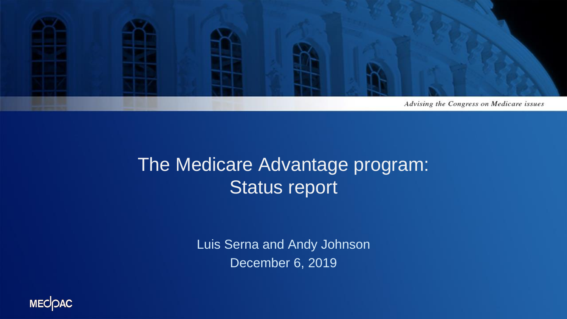

#### The Medicare Advantage program: Status report

Luis Serna and Andy Johnson December 6, 2019

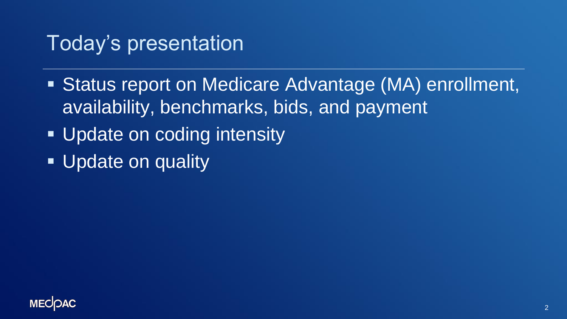## Today's presentation

- **Exatus report on Medicare Advantage (MA) enrollment,** availability, benchmarks, bids, and payment
- **. Update on coding intensity**
- **Update on quality**

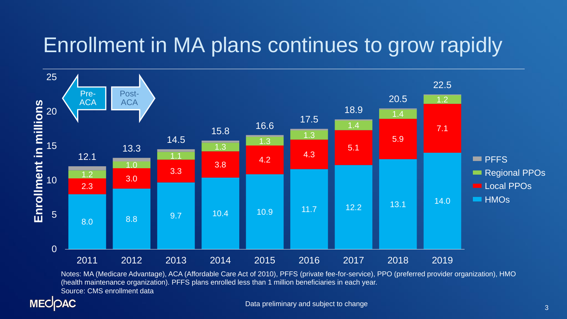## Enrollment in MA plans continues to grow rapidly



Notes: MA (Medicare Advantage), ACA (Affordable Care Act of 2010), PFFS (private fee-for-service), PPO (preferred provider organization), HMO (health maintenance organization). PFFS plans enrolled less than 1 million beneficiaries in each year. Source: CMS enrollment data

#### **MECOAC**

Data preliminary and subject to change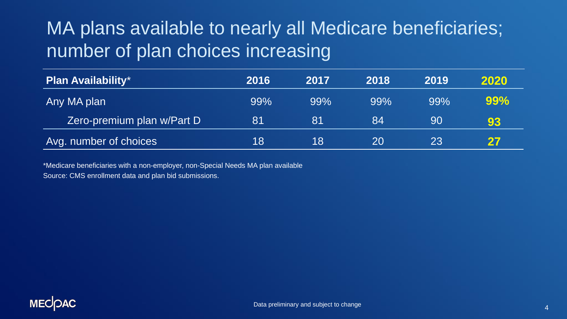#### MA plans available to nearly all Medicare beneficiaries; number of plan choices increasing

| <b>Plan Availability*</b>  | 2016 | 2017 | 2018 | 2019 | 2020 |
|----------------------------|------|------|------|------|------|
| Any MA plan                | 99%  | 99%  | 99%  | 99%  | 99%  |
| Zero-premium plan w/Part D | 81   | '81  | 84   | 90   | 93   |
| Avg. number of choices     | 18   | 18   | 20   | 23   | 27   |

\*Medicare beneficiaries with a non-employer, non-Special Needs MA plan available Source: CMS enrollment data and plan bid submissions.

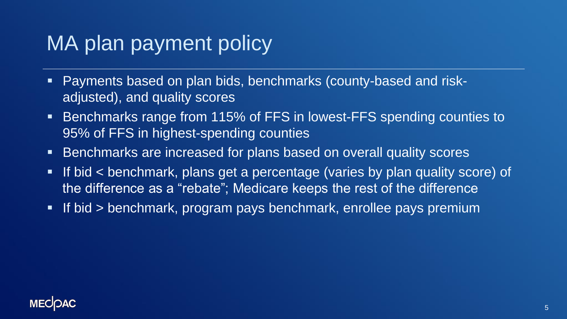## MA plan payment policy

- Payments based on plan bids, benchmarks (county-based and riskadjusted), and quality scores
- Benchmarks range from 115% of FFS in lowest-FFS spending counties to 95% of FFS in highest-spending counties
- **EXE** Benchmarks are increased for plans based on overall quality scores
- **.** If bid < benchmark, plans get a percentage (varies by plan quality score) of the difference as a "rebate"; Medicare keeps the rest of the difference
- **. If bid > benchmark, program pays benchmark, enrollee pays premium**

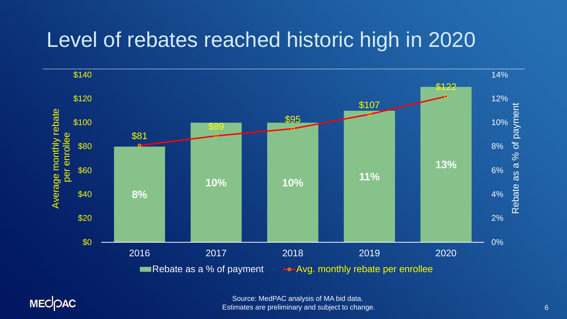## Level of rebates reached historic high in 2020



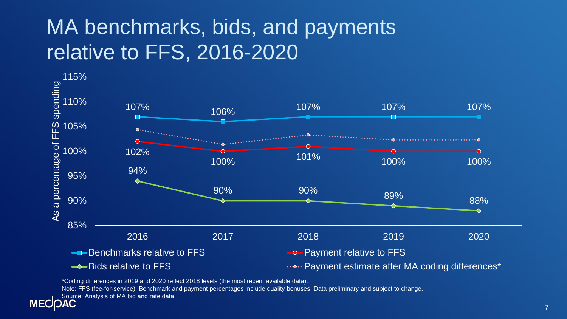## MA benchmarks, bids, and payments relative to FFS, 2016-2020



\*Coding differences in 2019 and 2020 reflect 2018 levels (the most recent available data).

Note: FFS (fee-for-service). Benchmark and payment percentages include quality bonuses. Data preliminary and subject to change.

Source: Analysis of MA bid and rate data.

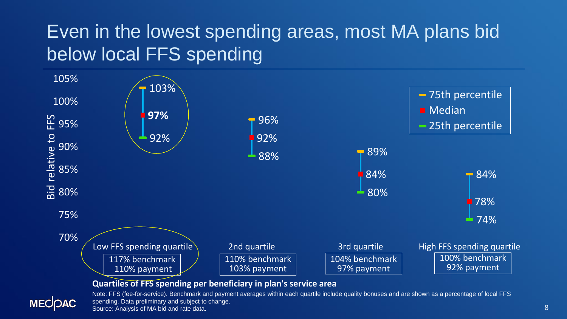### Even in the lowest spending areas, most MA plans bid below local FFS spending



Source: Analysis of MA bid and rate data.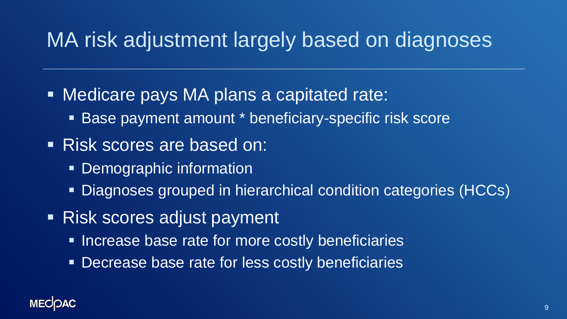## MA risk adjustment largely based on diagnoses

- Medicare pays MA plans a capitated rate:
	- Base payment amount \* beneficiary-specific risk score
- Risk scores are based on:
	- **Demographic information**
	- Diagnoses grouped in hierarchical condition categories (HCCs)
- Risk scores adjust payment
	- **EXTERGE SERVIER Increase base rate for more costly beneficiaries**
	- **EXPERISE DECTEASE DASE TATE for less costly beneficiaries**

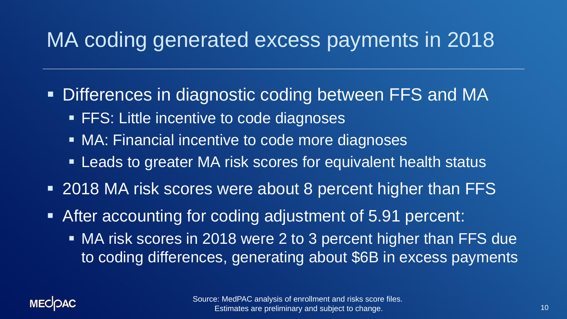## MA coding generated excess payments in 2018

- **. Differences in diagnostic coding between FFS and MA** 
	- **FFS: Little incentive to code diagnoses**
	- MA: Financial incentive to code more diagnoses
	- **EXA)** Leads to greater MA risk scores for equivalent health status
- 2018 MA risk scores were about 8 percent higher than FFS
- After accounting for coding adjustment of 5.91 percent:
	- MA risk scores in 2018 were 2 to 3 percent higher than FFS due to coding differences, generating about \$6B in excess payments

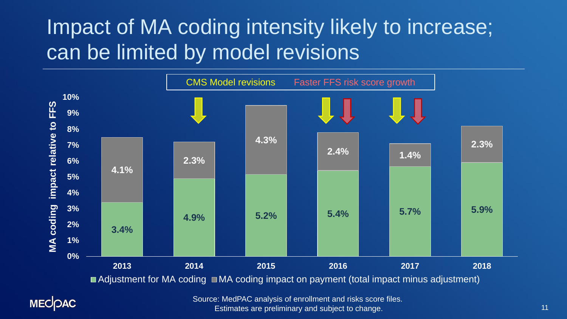# Impact of MA coding intensity likely to increase; can be limited by model revisions



**MECOAC** 

Source: MedPAC analysis of enrollment and risks score files. Estimates are preliminary and subject to change.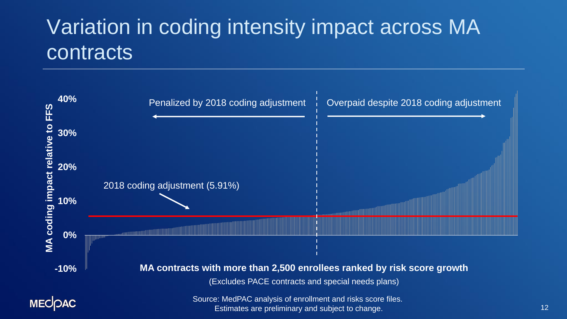## Variation in coding intensity impact across MA contracts

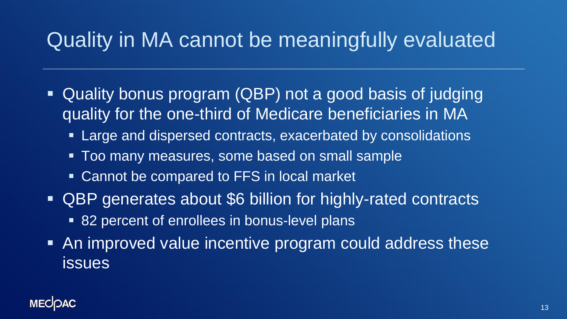# Quality in MA cannot be meaningfully evaluated

- Quality bonus program (QBP) not a good basis of judging quality for the one-third of Medicare beneficiaries in MA
	- **Example 20 and dispersed contracts, exacerbated by consolidations**
	- **Too many measures, some based on small sample**
	- Cannot be compared to FFS in local market
- QBP generates about \$6 billion for highly-rated contracts ■ 82 percent of enrollees in bonus-level plans
- An improved value incentive program could address these issues